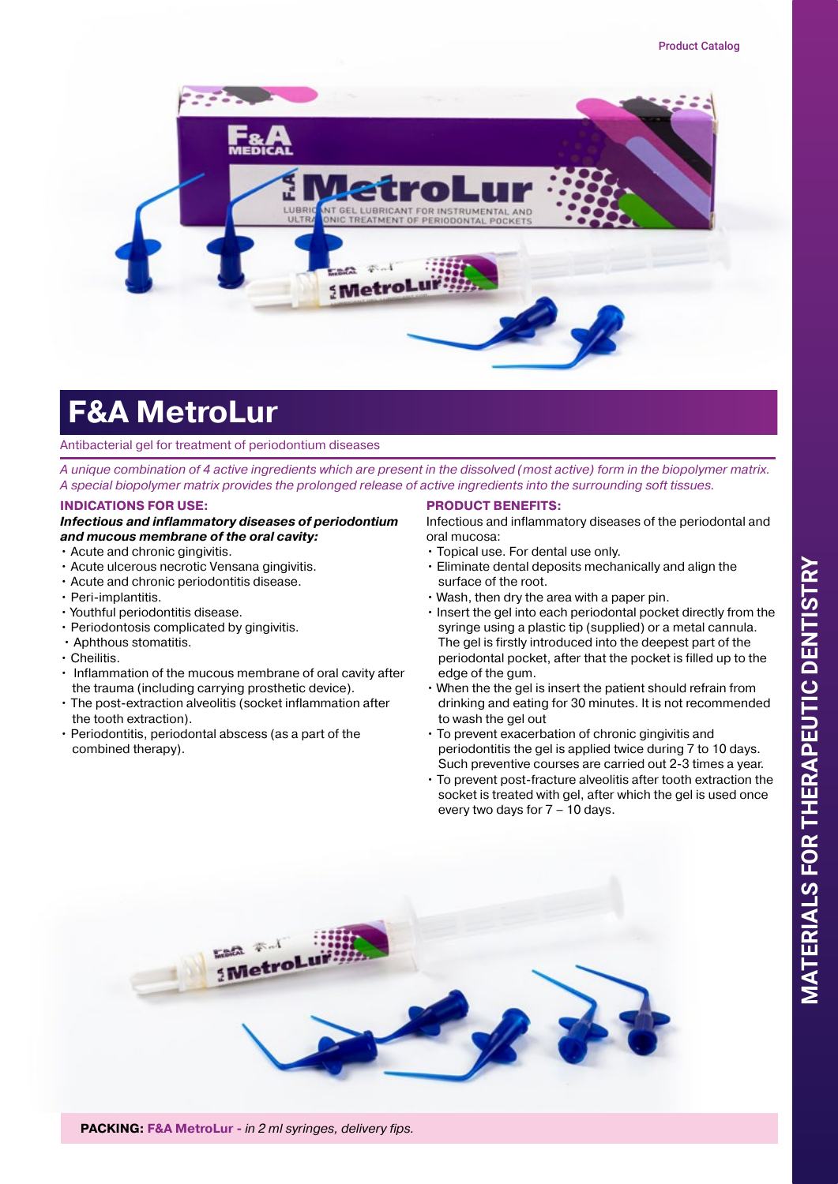

# **F&A MetroLur**

#### Antibacterial gel for treatment of periodontium diseases

*A unique combination of 4 active ingredients which are present in the dissolved (most active) form in the biopolymer matrix. A special biopolymer matrix provides the prolonged release of active ingredients into the surrounding soft tissues.*

## **INDICATIONS FOR USE:**

#### *Infectious and inflammatory diseases of periodontium and mucous membrane of the oral cavity:*

- Acute and chronic gingivitis.
- Acute ulcerous necrotic Vensana gingivitis.
- Acute and chronic periodontitis disease.
- Peri-implantitis.
- Youthful periodontitis disease.
- Periodontosis complicated by gingivitis.
- Aphthous stomatitis.
- Cheilitis.
- Inflammation of the mucous membrane of oral cavity after the trauma (including carrying prosthetic device).
- The post-extraction alveolitis (socket inflammation after the tooth extraction).
- Periodontitis, periodontal abscess (as a part of the combined therapy).

## **PRODUCT BENEFITS:**

Infectious and inflammatory diseases of the periodontal and oral mucosa:

- Topical use. For dental use only.
- Eliminate dental deposits mechanically and align the surface of the root.
- Wash, then dry the area with a paper pin.
- Insert the gel into each periodontal pocket directly from the syringe using a plastic tip (supplied) or a metal cannula. The gel is firstly introduced into the deepest part of the periodontal pocket, after that the pocket is filled up to the edge of the gum.
- When the the gel is insert the patient should refrain from drinking and eating for 30 minutes. It is not recommended to wash the gel out
- To prevent exacerbation of chronic gingivitis and periodontitis the gel is applied twice during 7 to 10 days. Such preventive courses are carried out 2-3 times a year.
- To prevent post-fracture alveolitis after tooth extraction the socket is treated with gel, after which the gel is used once every two days for 7 – 10 days.



**PACKING: F&A MetroLur -** *in 2 ml syringes, delivery fips.*